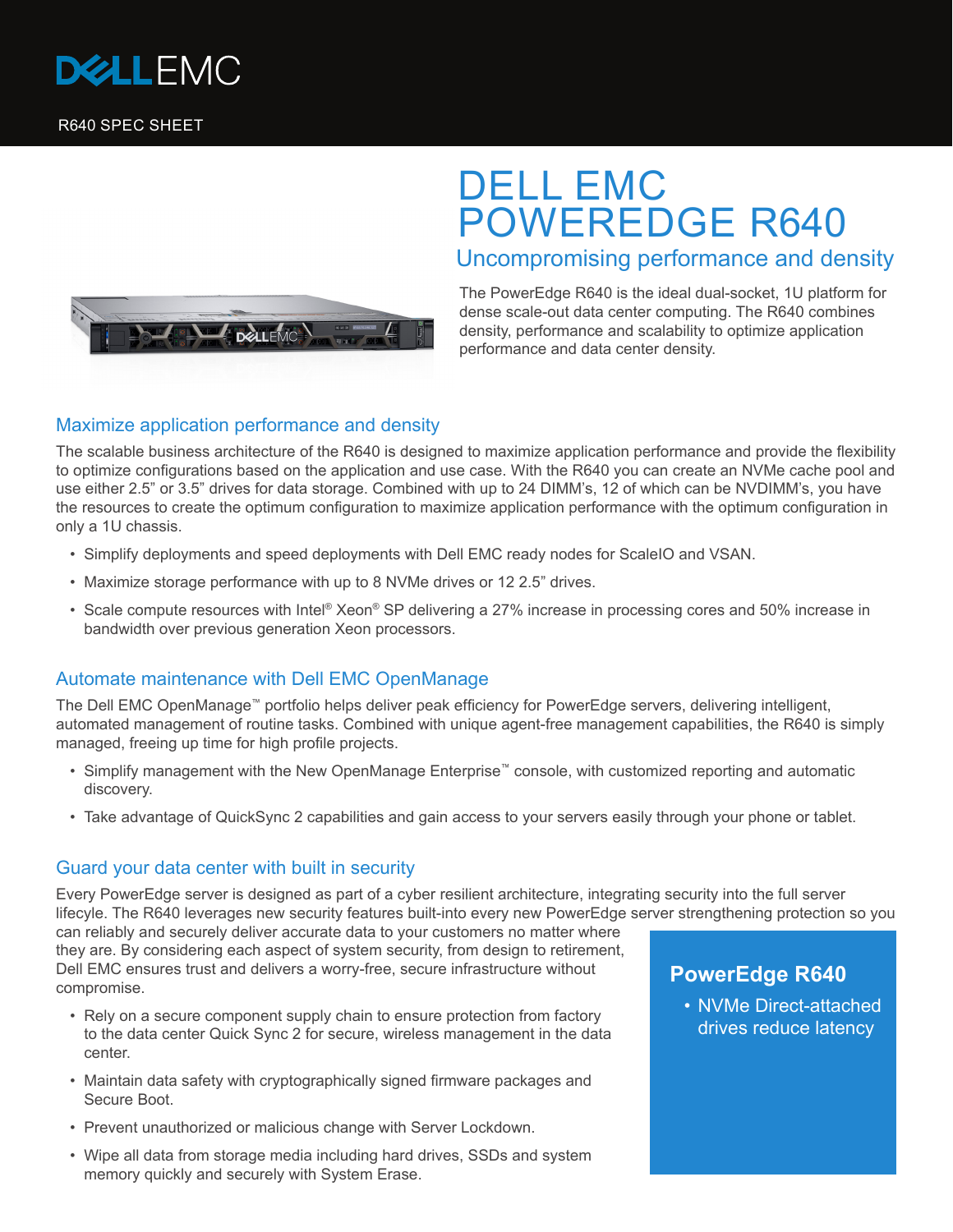

# DELL EMC POWEREDGE R640 Uncompromising performance and density



The PowerEdge R640 is the ideal dual-socket, 1U platform for dense scale-out data center computing. The R640 combines density, performance and scalability to optimize application performance and data center density.

# Maximize application performance and density

The scalable business architecture of the R640 is designed to maximize application performance and provide the flexibility to optimize configurations based on the application and use case. With the R640 you can create an NVMe cache pool and use either 2.5" or 3.5" drives for data storage. Combined with up to 24 DIMM's, 12 of which can be NVDIMM's, you have the resources to create the optimum configuration to maximize application performance with the optimum configuration in only a 1U chassis.

- Simplify deployments and speed deployments with Dell EMC ready nodes for ScaleIO and VSAN.
- Maximize storage performance with up to 8 NVMe drives or 12 2.5" drives.
- Scale compute resources with Intel® Xeon® SP delivering a 27% increase in processing cores and 50% increase in bandwidth over previous generation Xeon processors.

# Automate maintenance with Dell EMC OpenManage

The Dell EMC OpenManage™ portfolio helps deliver peak efficiency for PowerEdge servers, delivering intelligent, automated management of routine tasks. Combined with unique agent-free management capabilities, the R640 is simply managed, freeing up time for high profile projects.

- Simplify management with the New OpenManage Enterprise™ console, with customized reporting and automatic discovery.
- Take advantage of QuickSync 2 capabilities and gain access to your servers easily through your phone or tablet.

## Guard your data center with built in security

Every PowerEdge server is designed as part of a cyber resilient architecture, integrating security into the full server lifecyle. The R640 leverages new security features built-into every new PowerEdge server strengthening protection so you

can reliably and securely deliver accurate data to your customers no matter where they are. By considering each aspect of system security, from design to retirement, Dell EMC ensures trust and delivers a worry-free, secure infrastructure without compromise.

- Rely on a secure component supply chain to ensure protection from factory to the data center Quick Sync 2 for secure, wireless management in the data center.
- Maintain data safety with cryptographically signed firmware packages and Secure Boot.
- Prevent unauthorized or malicious change with Server Lockdown.
- Wipe all data from storage media including hard drives, SSDs and system memory quickly and securely with System Erase.

# **PowerEdge R640**

• NVMe Direct-attached drives reduce latency